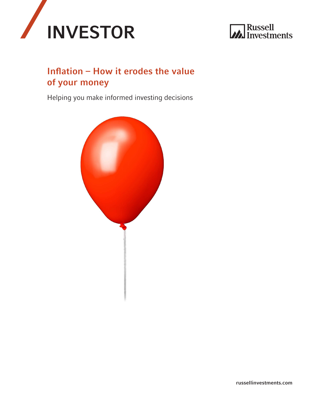



# Inflation – How it erodes the value of your money

Helping you make informed investing decisions

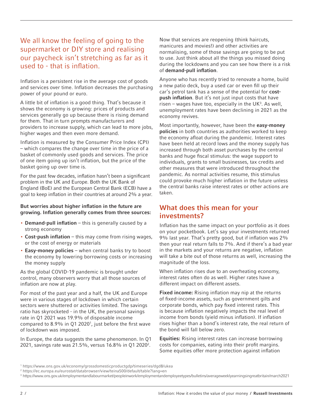## We all know the feeling of going to the supermarket or DIY store and realising our paycheck isn't stretching as far as it used to - that is inflation.

Inflation is a persistent rise in the average cost of goods and services over time. Inflation decreases the purchasing power of your pound or euro.

A little bit of inflation is a good thing. That's because it shows the economy is growing: prices of products and services generally go up because there is rising demand for them. That in turn prompts manufacturers and providers to increase supply, which can lead to more jobs, higher wages and then even more demand.

Inflation is measured by the Consumer Price Index (CPI) – which compares the change over time in the price of a basket of commonly used goods and services. The price of one item going up isn't inflation, but the price of the basket going up over time is.

For the past few decades, inflation hasn't been a significant problem in the UK and Europe. Both the UK Bank of England (BoE) and the European Central Bank (ECB) have a goal to keep inflation in their countries at around 2% a year.

#### But worries about higher inflation in the future are growing. Inflation generally comes from three sources:

- Demand-pull inflation this is generally caused by a strong economy
- Cost-push inflation this may come from rising wages, or the cost of energy or materials
- Easy-money policies when central banks try to boost the economy by lowering borrowing costs or increasing the money supply

As the global COVID-19 pandemic is brought under control, many observers worry that all those sources of inflation are now at play.

For most of the past year and a half, the UK and Europe were in various stages of lockdown in which certain sectors were shuttered or activities limited. The savings ratio has skyrocketed - in the UK, the personal savings rate in Q1 2021 was 19.9% of disposable income compared to 8.9% in Q1 2020<sup>1</sup>, just before the first wave of lockdown was imposed.

In Europe, the data suggests the same phenomenon. In Q1 2021, savings rate was 21.5%, versus 16.8% in Q1 2020<sup>2</sup>.

Now that services are reopening (think haircuts, manicures and movies!) and other activities are normalising, some of those savings are going to be put to use. Just think about all the things you missed doing during the lockdowns and you can see how there is a risk of demand-pull inflation.

Anyone who has recently tried to renovate a home, build a new patio deck, buy a used car or even fill up their car's petrol tank has a sense of the potential for **cost**push inflation. But it's not just input costs that have risen  $-$  wages have too, especially in the UK<sup>3</sup>. As well, unemployment rates have been declining in 2021 as the economy revives.

Most importantly, however, have been the easy-money policies in both countries as authorities worked to keep the economy afloat during the pandemic. Interest rates have been held at record lows and the money supply has increased through both asset purchases by the central banks and huge fiscal stimulus: the wage support to individuals, grants to small businesses, tax credits and other measures that were introduced throughout the pandemic. As normal activities resume, this stimulus could provoke much higher inflation in the future unless the central banks raise interest rates or other actions are taken.

### What does this mean for your investments?

Inflation has the same impact on your portfolio as it does on your pocketbook. Let's say your investments returned 9% last year. That's pretty good, but if inflation was 2% then your real return falls to 7%. And if there's a bad year in the markets and your returns are negative, inflation will take a bite out of those returns as well, increasing the magnitude of the loss.

When inflation rises due to an overheating economy, interest rates often do as well. Higher rates have a different impact on different assets.

**Fixed income:** Rising inflation may nip at the returns of fixed-income assets, such as government gilts and corporate bonds, which pay fixed interest rates. This is because inflation negatively impacts the real level of income from bonds (yield minus inflation). If inflation rises higher than a bond's interest rate, the real return of the bond will fall below zero.

Equities: Rising interest rates can increase borrowing costs for companies, eating into their profit margins. Some equities offer more protection against inflation

<sup>1</sup> https://www.ons.gov.uk/economy/grossdomesticproductgdp/timeseries/dgd8/ukea

<sup>2</sup> https://ec.europa.eu/eurostat/databrowser/view/teina500/default/table?lang=en

<sup>3</sup> https://www.ons.gov.uk/employmentandlabourmarket/peopleinwork/employmentandemployeetypes/bulletins/averageweeklyearningsingreatbritain/march2021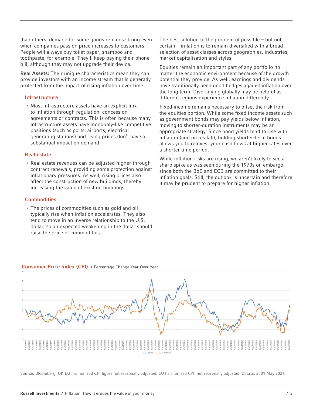than others: demand for some goods remains strong even when companies pass on price increases to customers. People will always buy toilet paper, shampoo and toothpaste, for example. They'll keep paying their phone bill, although they may not upgrade their device.

Real Assets: Their unique characteristics mean they can provide investors with an income stream that is generally protected from the impact of rising inflation over time.

#### Infrastructure

• Most infrastructure assets have an explicit link to inflation through regulation, concession agreements or contracts. This is often because many infrastructure assets have monopoly-like competitive positions (such as ports, airports, electrical generating stations) and rising prices don't have a substantial impact on demand.

#### Real estate

• Real estate revenues can be adjusted higher through contract renewals, providing some protection against inflationary pressures. As well, rising prices also affect the construction of new buildings, thereby increasing the value of existing buildings.

#### **Commodities**

• The prices of commodities such as gold and oil typically rise when inflation accelerates. They also tend to move in an inverse relationship to the U.S. dollar, so an expected weakening in the dollar should raise the price of commodities.

The best solution to the problem of possible – but not certain – inflation is to remain diversified with a broad selection of asset classes across geographies, industries, market capitalisation and styles.

Equities remain an important part of any portfolio no matter the economic environment because of the growth potential they provide. As well, earnings and dividends have traditionally been good hedges against inflation over the long term. Diversifying globally may be helpful as different regions experience inflation differently.

Fixed income remains necessary to offset the risk from the equities portion. While some fixed income assets such as government bonds may pay yields below inflation, moving to shorter-duration instruments may be an appropriate strategy. Since bond yields tend to rise with inflation (and prices fall), holding shorter-term bonds allows you to reinvest your cash flows at higher rates over a shorter time period.

While inflation risks are rising, we aren't likely to see a sharp spike as was seen during the 1970s oil embargo, since both the BoE and ECB are committed to their inflation goals. Still, the outlook is uncertain and therefore it may be prudent to prepare for higher inflation.



#### Consumer Price Index (CPI) / Percentage Change Year-Over-Year

Source: Bloomberg. UK EU harmonised CPI figure not seasonally adjusted. EU harmonised CPI, not seasonally adjusted. Data as at 01 May 2021.